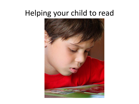### Helping your child to read

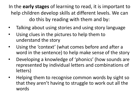In the **early stages** of learning to read, it is important to help children develop skills at different levels. We can do this by reading with them and by:

- Talking about using stories and using story language
- Using clues in the pictures to help them to understand the story
- Using the 'context' (what comes before and after a word in the sentence) to help make sense of the story
- Developing a knowledge of 'phonics' (how sounds are represented by individual letters and combinations of letters)
- Helping them to recognise common words by sight so that they aren't having to struggle to work out all the words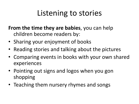# Listening to stories

- **From the time they are babies**, you can help children become readers by:
- Sharing your enjoyment of books
- Reading stories and talking about the pictures
- Comparing events in books with your own shared experiences
- Pointing out signs and logos when you gon shopping
- Teaching them nursery rhymes and songs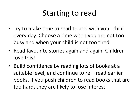## Starting to read

- Try to make time to read to and with your child every day. Choose a time when you are not too busy and when your child is not too tired
- Read favourite stories again and again. Children love this!
- Build confidence by reading lots of books at a suitable level, and continue to re – read earlier books. If you push children to read books that are too hard, they are likely to lose interest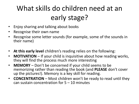# What skills do children need at an early stage?

- Enjoy sharing and talking about books
- Recognise their own name
- Recognise some letter sounds (for example, some of the sounds in their name)
- **At this early level** children's reading relies on the following:
- **MOTIVATION** If your child is inquisitive about how reading works, they will find the process much more interesting
- **MEMORY** Don't be concerned if your child seems to be memorizing rather than reading the book (and **PLEASE** don't cover up the pictures!). Memory is a key skill for reading.
- **CONCENTRATION**  Most children won't be ready to read until they can sustain concentration for  $5 - 10$  minutes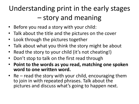# Understanding print in the early stages – story and meaning

- Before you read a story with your child:
- Talk about the title and the pictures on the cover
- Look through the pictures together
- Talk about what you think the story might be about
- Read the story to your child (it's not cheating!)
- Don't stop to talk on the first read through
- **Point to the words as you read, matching one spoken word to one written word.**
- Re read the story with your child, encouraging them to join in with repeated phrases. Talk about the pictures and discuss what's going to happen next.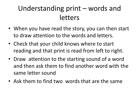#### Understanding print – words and letters

- When you have read the story, you can then start to draw attention to the words and letters.
- Check that your child knows where to start reading and that print is read from left to right.
- Draw attention to the starting sound of a word and then ask them to find another word with the same letter sound
- Ask them to find two words that are the same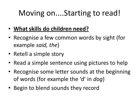# Moving on....Starting to read!

- **What skills do children need?**
- Recognise a few common words by sight (for example *said, the*)
- Retell a simple story
- Read a simple sentence using pictures to help
- Recognise some letter sounds at the beginning of words (for example the 'd' in *dog*)
- Begin to blend sounds they record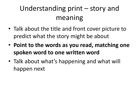### Understanding print – story and meaning

- Talk about the title and front cover picture to predict what the story might be about
- **Point to the words as you read, matching one spoken word to one written word**
- Talk about what's happening and what will happen next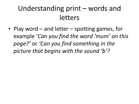#### Understanding print – words and letters

• Play word – and letter – spotting games, for example '*Can you find the word 'mum' on this page?'* or *'Can you find something in the picture that begins with the sound 'b'?*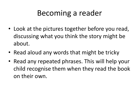### Becoming a reader

- Look at the pictures together before you read, discussing what you think the story might be about.
- Read aloud any words that might be tricky
- Read any repeated phrases. This will help your child recognise them when they read the book on their own.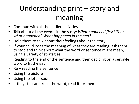### Understanding print – story and meaning

- Continue with all the earlier activities
- Talk about all the events in the story*: What happened first? Then what happened? What happened in the end?*
- Help them to talk about their feelings about the story
- If your child loses the meaning of what they are reading, ask them to stop and think about what the word or sentence might mean, using a variety of strategies:
- Reading to the end of the sentence and then deciding on a sensible word to fit the gap
- Re reading the sentence
- Using the picture
- Using the letter sounds
- If they still can't read the word, read it for them.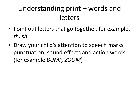### Understanding print – words and letters

- Point out letters that go together, for example, *th, sh*
- Draw your child's attention to speech marks, punctuation, sound effects and action words (for example *BUMP, ZOOM*)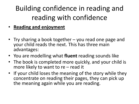# Building confidence in reading and reading with confidence

- **Reading and enjoyment**
- Try sharing a book together you read one page and your child reads the next. This has three main advantages:
- You are modelling what **fluent** reading sounds like
- The book is completed more quickly, and your child is more likely to want to re – read it
- If your child loses the meaning of the story while they concentrate on reading their pages, they can pick up the meaning again while you are reading.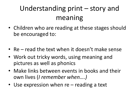# Understanding print – story and meaning

- Children who are reading at these stages should be encouraged to:
- Re read the text when it doesn't make sense
- Work out tricky words, using meaning and pictures as well as phonics
- Make links between events in books and their own lives (*I remember when….)*
- Use expression when re reading a text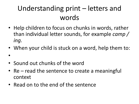### Understanding print – letters and words

- Help children to focus on chunks in words, rather than individual letter sounds, for example *camp / ing.*
- When your child is stuck on a word, help them to:
- Sound out chunks of the word

•

- Re read the sentence to create a meaningful context
- Read on to the end of the sentence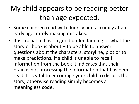### My child appears to be reading better than age expected.

- Some children read with fluency and accuracy at an early age, rarely making mistakes.
- It is crucial to have a good understanding of what the story or book is about – to be able to answer questions about the characters, storyline, plot or to make predictions. If a child is unable to recall information from the book it indicates that their brain is not processing the information that has been read. It is vital to encourage your child to discuss the story, otherwise reading simply becomes a meaningless code.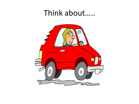#### Think about…..

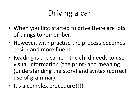# Driving a car

- When you first started to drive there are lots of things to remember.
- However, with practise the process becomes easier and more fluent.
- Reading is the same the child needs to use visual information (the print) and meaning (understanding the story) and syntax (correct use of grammar)
- It's a complex procedure!!!!